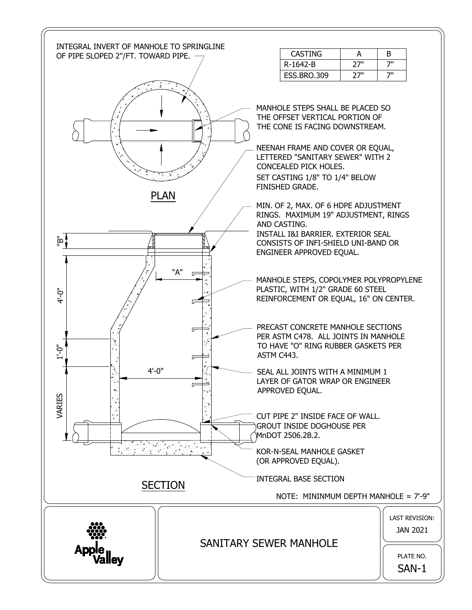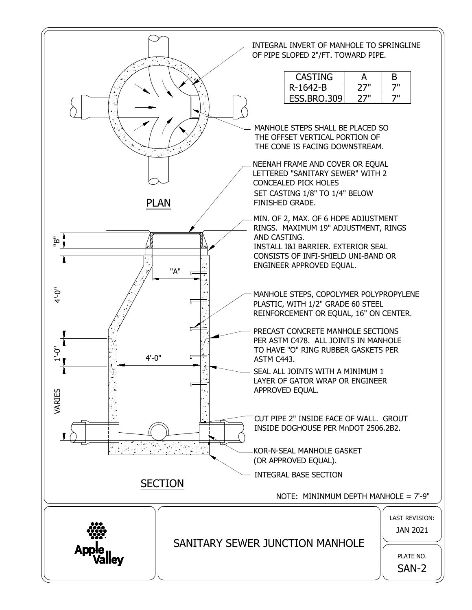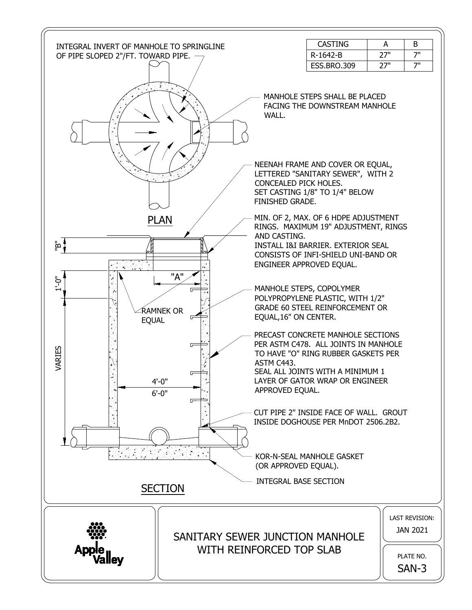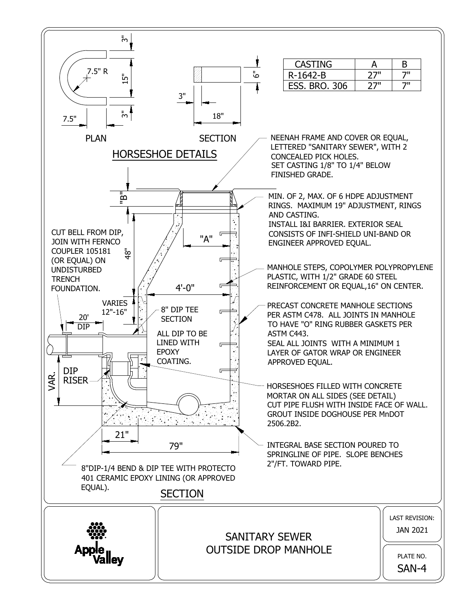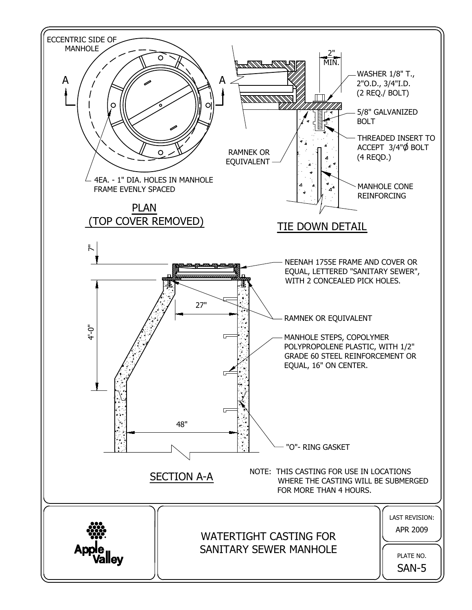